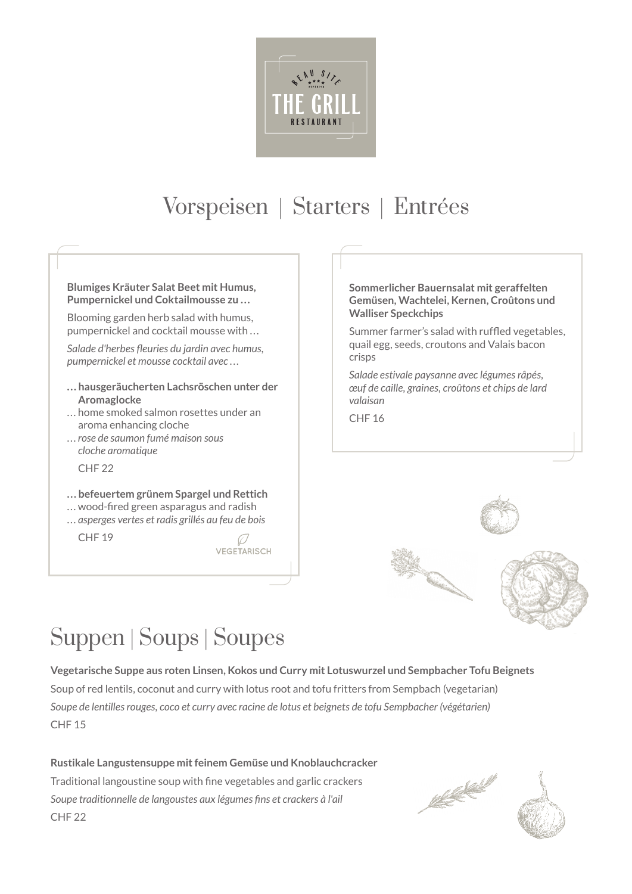

# Vorspeisen | Starters | Entrées

#### **Blumiges Kräuter Salat Beet mit Humus, Pumpernickel und Coktailmousse zu . . .**

Blooming garden herb salad with humus, pumpernickel and cocktail mousse with ...

*Salade d'herbes fleuries du jardin avec humus, pumpernickel et mousse cocktail avec . . .*

- **. . . hausgeräucherten Lachsröschen unter der Aromaglocke**
- ... home smoked salmon rosettes under an aroma enhancing cloche
- . . . *rose de saumon fumé maison sous cloche aromatique*

CHF 22

- **. . . befeuertem grünem Spargel und Rettich**
- ... wood-fired green asparagus and radish
- . . . *asperges vertes et radis grillés au feu de bois*

CHF 19

Ø **VEGETARISCH**  **Sommerlicher Bauernsalat mit geraffelten Gemüsen, Wachtelei, Kernen, Croûtons und Walliser Speckchips**

Summer farmer's salad with ruffled vegetables, quail egg, seeds, croutons and Valais bacon crisps

*Salade estivale paysanne avec légumes râpés, œuf de caille, graines, croûtons et chips de lard valaisan*

CHF 16



# Suppen | Soups | Soupes

**Vegetarische Suppe aus roten Linsen, Kokos und Curry mit Lotuswurzel und Sempbacher Tofu Beignets** Soup of red lentils, coconut and curry with lotus root and tofu fritters from Sempbach (vegetarian) *Soupe de lentilles rouges, coco et curry avec racine de lotus et beignets de tofu Sempbacher (végétarien)* CHF 15

**Rustikale Langustensuppe mit feinem Gemüse und Knoblauchcracker**  Traditional langoustine soup with fine vegetables and garlic crackers *Soupe traditionnelle de langoustes aux légumes fins et crackers à l'ail* CHF 22